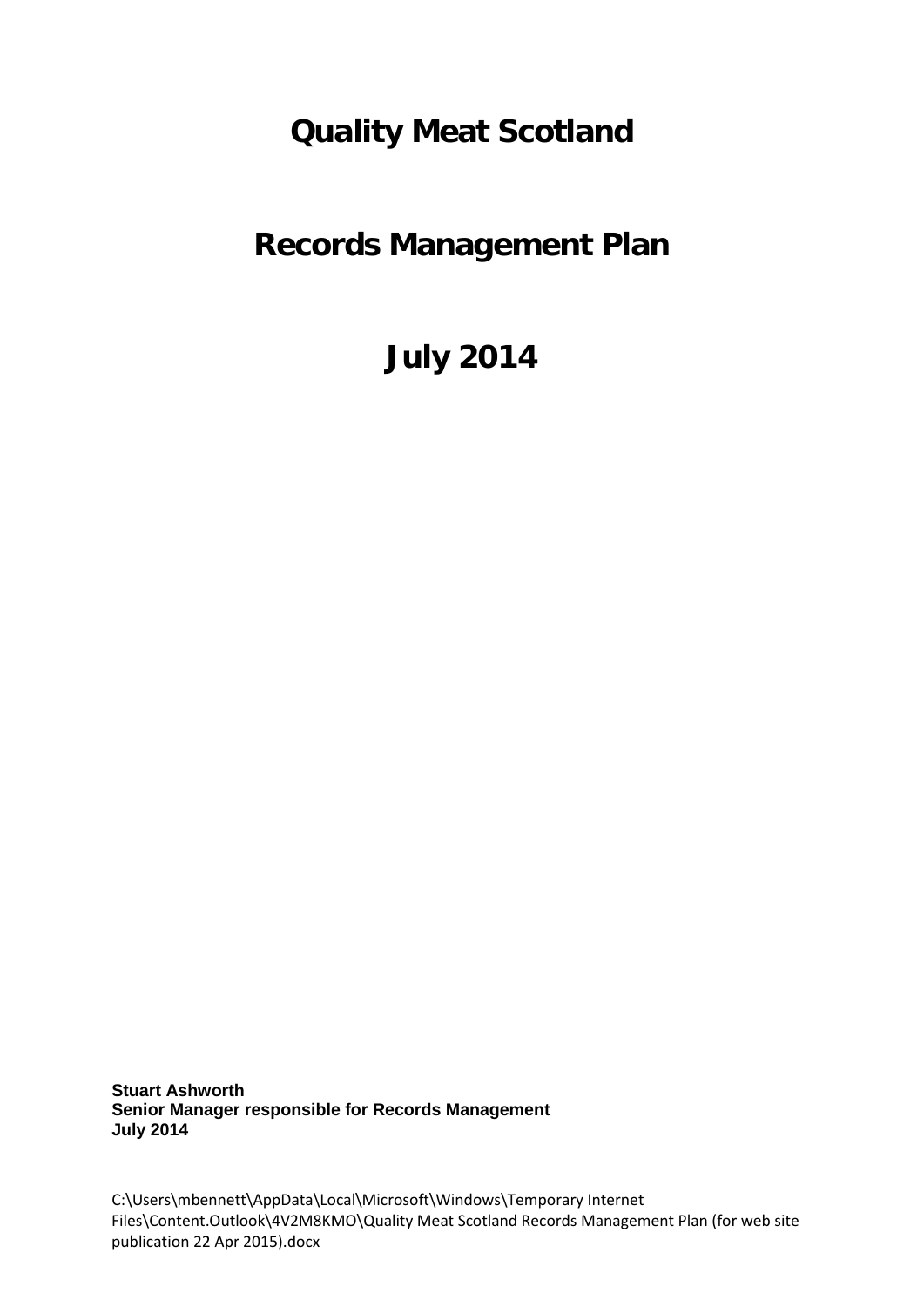## **Quality Meat Scotland**

# **Records Management Plan**

**July 2014**

**Stuart Ashworth Senior Manager responsible for Records Management July 2014**

C:\Users\mbennett\AppData\Local\Microsoft\Windows\Temporary Internet Files\Content.Outlook\4V2M8KMO\Quality Meat Scotland Records Management Plan (for web site publication 22 Apr 2015).docx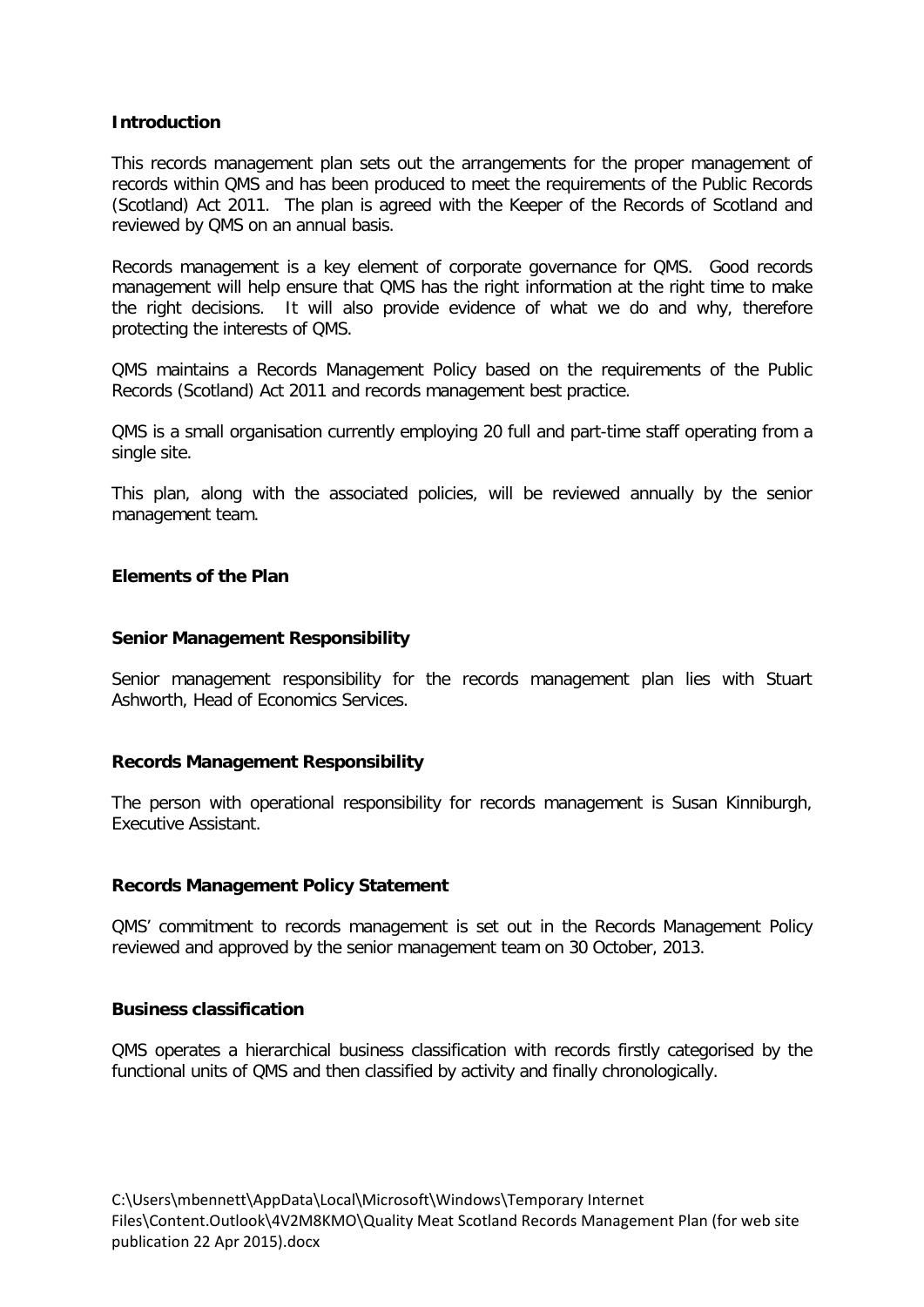## **Introduction**

This records management plan sets out the arrangements for the proper management of records within QMS and has been produced to meet the requirements of the Public Records (Scotland) Act 2011. The plan is agreed with the Keeper of the Records of Scotland and reviewed by QMS on an annual basis.

Records management is a key element of corporate governance for QMS. Good records management will help ensure that QMS has the right information at the right time to make the right decisions. It will also provide evidence of what we do and why, therefore protecting the interests of QMS.

QMS maintains a Records Management Policy based on the requirements of the Public Records (Scotland) Act 2011 and records management best practice.

QMS is a small organisation currently employing 20 full and part-time staff operating from a single site.

This plan, along with the associated policies, will be reviewed annually by the senior management team.

## **Elements of the Plan**

## **Senior Management Responsibility**

Senior management responsibility for the records management plan lies with Stuart Ashworth, Head of Economics Services.

## **Records Management Responsibility**

The person with operational responsibility for records management is Susan Kinniburgh, Executive Assistant.

## **Records Management Policy Statement**

QMS' commitment to records management is set out in the Records Management Policy reviewed and approved by the senior management team on 30 October, 2013.

#### **Business classification**

QMS operates a hierarchical business classification with records firstly categorised by the functional units of QMS and then classified by activity and finally chronologically.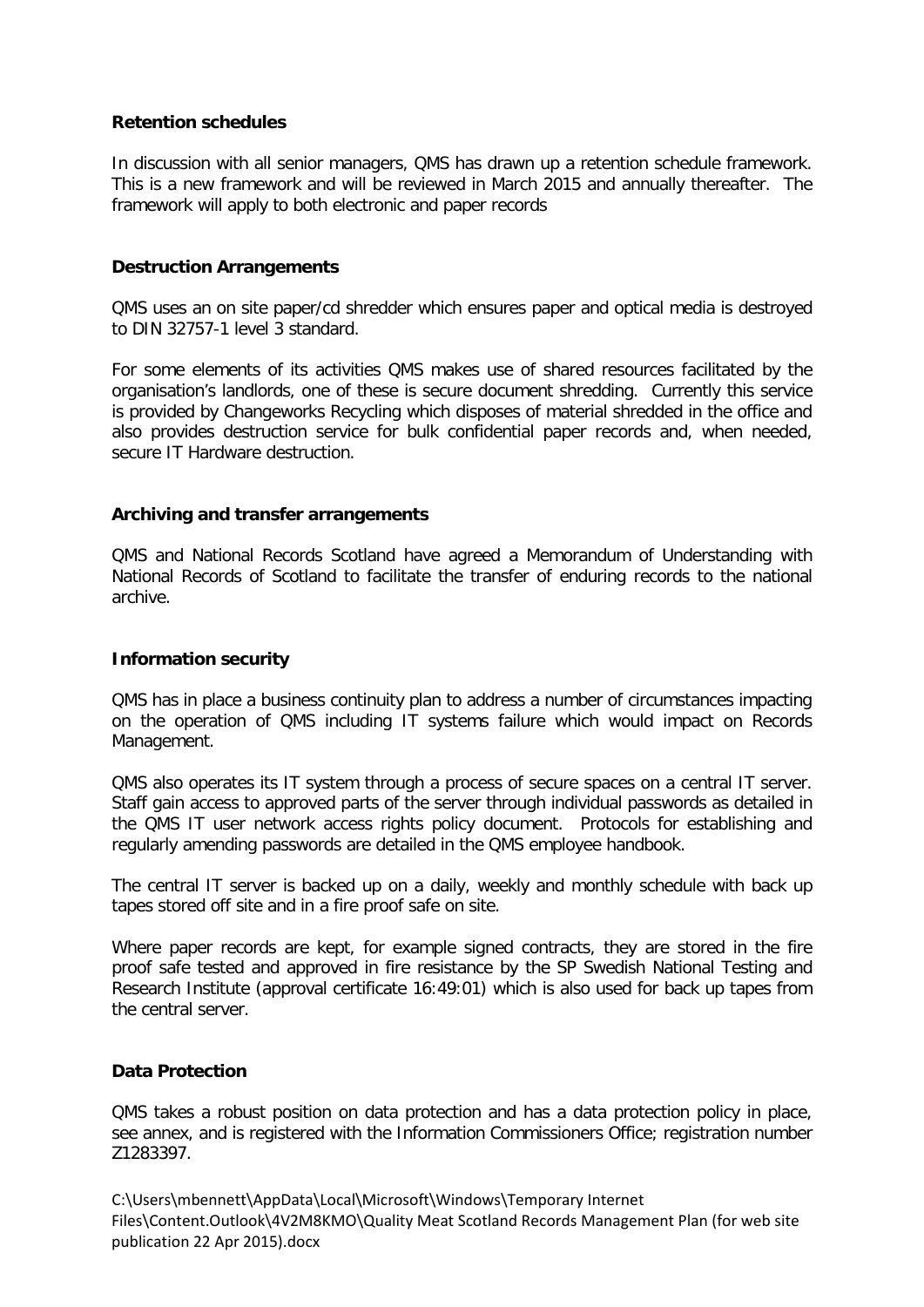## **Retention schedules**

In discussion with all senior managers, QMS has drawn up a retention schedule framework. This is a new framework and will be reviewed in March 2015 and annually thereafter. The framework will apply to both electronic and paper records

## **Destruction Arrangements**

QMS uses an on site paper/cd shredder which ensures paper and optical media is destroyed to DIN 32757-1 level 3 standard.

For some elements of its activities QMS makes use of shared resources facilitated by the organisation's landlords, one of these is secure document shredding. Currently this service is provided by Changeworks Recycling which disposes of material shredded in the office and also provides destruction service for bulk confidential paper records and, when needed, secure IT Hardware destruction.

#### **Archiving and transfer arrangements**

QMS and National Records Scotland have agreed a Memorandum of Understanding with National Records of Scotland to facilitate the transfer of enduring records to the national archive.

#### **Information security**

QMS has in place a business continuity plan to address a number of circumstances impacting on the operation of QMS including IT systems failure which would impact on Records Management.

QMS also operates its IT system through a process of secure spaces on a central IT server. Staff gain access to approved parts of the server through individual passwords as detailed in the QMS IT user network access rights policy document. Protocols for establishing and regularly amending passwords are detailed in the QMS employee handbook.

The central IT server is backed up on a daily, weekly and monthly schedule with back up tapes stored off site and in a fire proof safe on site.

Where paper records are kept, for example signed contracts, they are stored in the fire proof safe tested and approved in fire resistance by the SP Swedish National Testing and Research Institute (approval certificate 16:49:01) which is also used for back up tapes from the central server.

#### **Data Protection**

QMS takes a robust position on data protection and has a data protection policy in place, see annex, and is registered with the Information Commissioners Office; registration number Z1283397.

C:\Users\mbennett\AppData\Local\Microsoft\Windows\Temporary Internet Files\Content.Outlook\4V2M8KMO\Quality Meat Scotland Records Management Plan (for web site publication 22 Apr 2015).docx